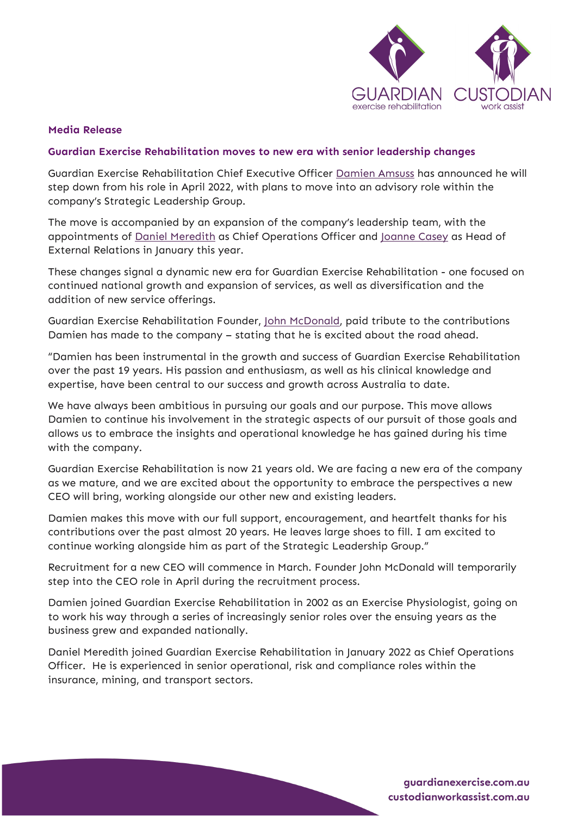

## **Media Release**

## **Guardian Exercise Rehabilitation moves to new era with senior leadership changes**

Guardian Exercise Rehabilitation Chief Executive Officer [Damien Amsuss](https://guardianexercise.com.au/team-members/damien-amsuss/) has announced he will step down from his role in April 2022, with plans to move into an advisory role within the company's Strategic Leadership Group.

The move is accompanied by an expansion of the company's leadership team, with the appointments of [Daniel Meredith](https://guardianexercise.com.au/team-members/daniel-meredith/) as Chief Operations Officer and [Joanne Casey](https://guardianexercise.com.au/team-members/joanne-casey/) as Head of External Relations in January this year.

These changes signal a dynamic new era for Guardian Exercise Rehabilitation - one focused on continued national growth and expansion of services, as well as diversification and the addition of new service offerings.

Guardian Exercise Rehabilitation Founder, [John McDonald,](https://guardianexercise.com.au/team-members/john-mcdonald/) paid tribute to the contributions Damien has made to the company – stating that he is excited about the road ahead.

"Damien has been instrumental in the growth and success of Guardian Exercise Rehabilitation over the past 19 years. His passion and enthusiasm, as well as his clinical knowledge and expertise, have been central to our success and growth across Australia to date.

We have always been ambitious in pursuing our goals and our purpose. This move allows Damien to continue his involvement in the strategic aspects of our pursuit of those goals and allows us to embrace the insights and operational knowledge he has gained during his time with the company.

Guardian Exercise Rehabilitation is now 21 years old. We are facing a new era of the company as we mature, and we are excited about the opportunity to embrace the perspectives a new CEO will bring, working alongside our other new and existing leaders.

Damien makes this move with our full support, encouragement, and heartfelt thanks for his contributions over the past almost 20 years. He leaves large shoes to fill. I am excited to continue working alongside him as part of the Strategic Leadership Group."

Recruitment for a new CEO will commence in March. Founder John McDonald will temporarily step into the CEO role in April during the recruitment process.

Damien joined Guardian Exercise Rehabilitation in 2002 as an Exercise Physiologist, going on to work his way through a series of increasingly senior roles over the ensuing years as the business grew and expanded nationally.

Daniel Meredith joined Guardian Exercise Rehabilitation in January 2022 as Chief Operations Officer. He is experienced in senior operational, risk and compliance roles within the insurance, mining, and transport sectors.

> quardianexercise.com.au custodianworkassist.com.au